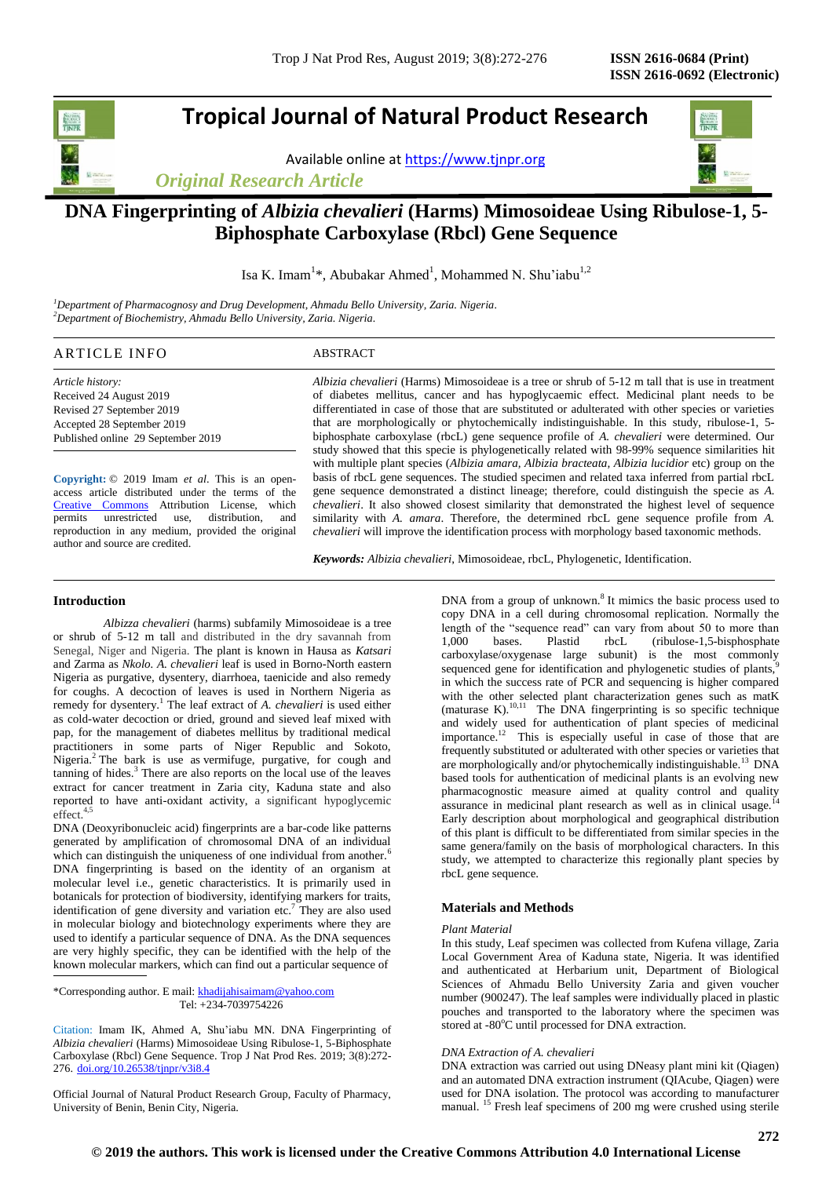# **Tropical Journal of Natural Product Research**

Available online a[t https://www.tjnpr.org](https://www.tjnpr.org/)

*Original Research Article*



# **DNA Fingerprinting of** *Albizia chevalieri* **(Harms) Mimosoideae Using Ribulose-1, 5- Biphosphate Carboxylase (Rbcl) Gene Sequence**

Isa K. Imam<sup>1\*</sup>, Abubakar Ahmed<sup>1</sup>, Mohammed N. Shu'iabu<sup>1,2</sup>

*<sup>1</sup>Department of Pharmacognosy and Drug Development, Ahmadu Bello University, Zaria. Nigeria. <sup>2</sup>Department of Biochemistry, Ahmadu Bello University, Zaria. Nigeria.*

# ARTICLE INFO ABSTRACT

*Article history:* Received 24 August 2019 Revised 27 September 2019 Accepted 28 September 2019 Published online 29 September 2019

**Copyright:** © 2019 Imam *et al*. This is an openaccess article distributed under the terms of the [Creative Commons](https://creativecommons.org/licenses/by/4.0/) Attribution License, which<br>permits unrestricted use, distribution, and unrestricted use, distribution, and reproduction in any medium, provided the original author and source are credited.

*Albizia chevalieri* (Harms) Mimosoideae is a tree or shrub of 5-12 m tall that is use in treatment of diabetes mellitus, cancer and has hypoglycaemic effect. Medicinal plant needs to be differentiated in case of those that are substituted or adulterated with other species or varieties that are morphologically or phytochemically indistinguishable. In this study, ribulose-1, 5 biphosphate carboxylase (rbcL) gene sequence profile of *A. chevalieri* were determined. Our study showed that this specie is phylogenetically related with 98-99% sequence similarities hit with multiple plant species (*Albizia amara, Albizia bracteata, Albizia lucidior* etc) group on the basis of rbcL gene sequences. The studied specimen and related taxa inferred from partial rbcL gene sequence demonstrated a distinct lineage; therefore, could distinguish the specie as *A. chevalieri*. It also showed closest similarity that demonstrated the highest level of sequence similarity with *A. amara*. Therefore, the determined rbcL gene sequence profile from *A. chevalieri* will improve the identification process with morphology based taxonomic methods.

*Keywords: Albizia chevalieri*, Mimosoideae, rbcL, Phylogenetic, Identification.

**Introduction**

*Albizza chevalieri* (harms) subfamily Mimosoideae is a tree or shrub of 5-12 m tall and distributed in the dry savannah from Senegal, Niger and Nigeria. The plant is known in Hausa as *Katsari* and Zarma as *Nkolo. A. chevalieri* leaf is used in Borno-North eastern Nigeria as purgative, dysentery, diarrhoea, taenicide and also remedy for coughs. A decoction of leaves is used in Northern Nigeria as remedy for dysentery.<sup>1</sup> The leaf extract of *A. chevalieri* is used either as cold-water decoction or dried, ground and sieved leaf mixed with pap, for the management of diabetes mellitus by traditional medical practitioners in some parts of Niger Republic and Sokoto, Nigeria.<sup>2</sup> The bark is use as vermifuge, purgative, for cough and tanning of hides.<sup>3</sup> There are also reports on the local use of the leaves extract for cancer treatment in Zaria city, Kaduna state and also reported to have anti-oxidant activity, a significant hypoglycemic effect.<sup>4,5</sup>

DNA (Deoxyribonucleic acid) fingerprints are a bar-code like patterns generated by amplification of chromosomal DNA of an individual which can distinguish the uniqueness of one individual from another.<sup>6</sup> DNA fingerprinting is based on the identity of an organism at molecular level i.e., genetic characteristics. It is primarily used in botanicals for protection of biodiversity, identifying markers for traits, identification of gene diversity and variation etc.<sup>7</sup> They are also used in molecular biology and biotechnology experiments where they are used to identify a particular sequence of DNA. As the DNA sequences are very highly specific, they can be identified with the help of the known molecular markers, which can find out a particular sequence of

\*Corresponding author. E mail[: khadijahisaimam@yahoo.com](mailto:khadijahisaimam@yahoo.com) Tel: +234-7039754226

Citation: Imam IK, Ahmed A, Shu'iabu MN. DNA Fingerprinting of *Albizia chevalieri* (Harms) Mimosoideae Using Ribulose-1, 5-Biphosphate Carboxylase (Rbcl) Gene Sequence. Trop J Nat Prod Res. 2019; 3(8):272- 276. [doi.org/10.26538/tjnpr/v3i8.4](http://www.doi.org/10.26538/tjnpr/v1i4.5)

Official Journal of Natural Product Research Group, Faculty of Pharmacy, University of Benin, Benin City, Nigeria.

DNA from a group of unknown.<sup>8</sup> It mimics the basic process used to copy DNA in a cell during chromosomal replication. Normally the length of the "sequence read" can vary from about 50 to more than 1,000 bases. Plastid rbcL (ribulose-1,5-bisphosphate carboxylase/oxygenase large subunit) is the most commonly sequenced gene for identification and phylogenetic studies of plants, in which the success rate of PCR and sequencing is higher compared with the other selected plant characterization genes such as matK (maturase K). $^{10,11}$  The DNA fingerprinting is so specific technique and widely used for authentication of plant species of medicinal importance.<sup>12</sup> This is especially useful in case of those that are frequently substituted or adulterated with other species or varieties that are morphologically and/or phytochemically indistinguishable.<sup>13</sup> DNA based tools for authentication of medicinal plants is an evolving new pharmacognostic measure aimed at quality control and quality assurance in medicinal plant research as well as in clinical usage.<sup>14</sup> Early description about morphological and geographical distribution of this plant is difficult to be differentiated from similar species in the same genera/family on the basis of morphological characters. In this study, we attempted to characterize this regionally plant species by rbcL gene sequence.

# **Materials and Methods**

#### *Plant Material*

In this study, Leaf specimen was collected from Kufena village, Zaria Local Government Area of Kaduna state, Nigeria. It was identified and authenticated at Herbarium unit, Department of Biological Sciences of Ahmadu Bello University Zaria and given voucher number (900247). The leaf samples were individually placed in plastic pouches and transported to the laboratory where the specimen was stored at -80°C until processed for DNA extraction.

## *DNA Extraction of A. chevalieri*

DNA extraction was carried out using DNeasy plant mini kit (Qiagen) and an automated DNA extraction instrument (QIAcube, Qiagen) were used for DNA isolation. The protocol was according to manufacturer manual. <sup>15</sup> Fresh leaf specimens of 200 mg were crushed using sterile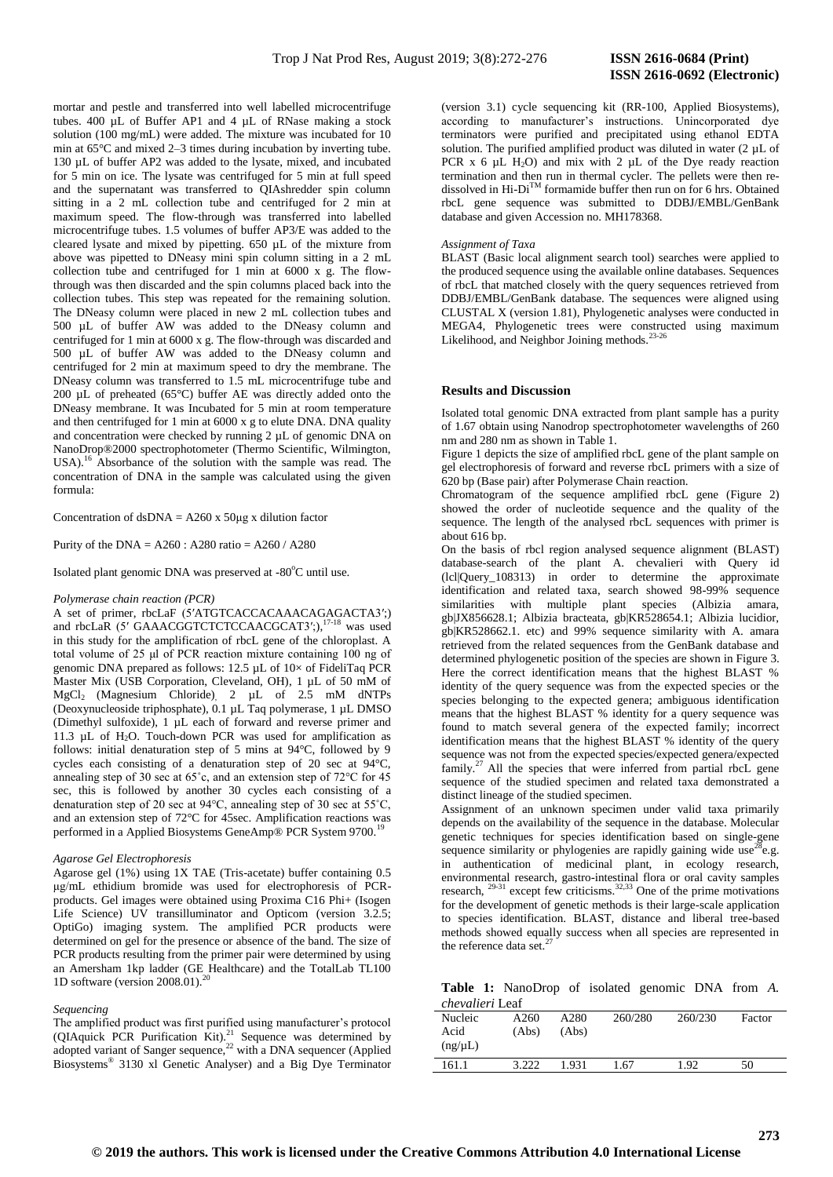mortar and pestle and transferred into well labelled microcentrifuge tubes. 400 µL of Buffer AP1 and 4 µL of RNase making a stock solution (100 mg/mL) were added. The mixture was incubated for 10 min at 65°C and mixed 2–3 times during incubation by inverting tube. 130 µL of buffer AP2 was added to the lysate, mixed, and incubated for 5 min on ice. The lysate was centrifuged for 5 min at full speed and the supernatant was transferred to QIAshredder spin column sitting in a 2 mL collection tube and centrifuged for 2 min at maximum speed. The flow-through was transferred into labelled microcentrifuge tubes. 1.5 volumes of buffer AP3/E was added to the cleared lysate and mixed by pipetting. 650 µL of the mixture from above was pipetted to DNeasy mini spin column sitting in a 2 mL collection tube and centrifuged for 1 min at 6000 x g. The flowthrough was then discarded and the spin columns placed back into the collection tubes. This step was repeated for the remaining solution. The DNeasy column were placed in new 2 mL collection tubes and 500 µL of buffer AW was added to the DNeasy column and centrifuged for 1 min at 6000 x g. The flow-through was discarded and 500 µL of buffer AW was added to the DNeasy column and centrifuged for 2 min at maximum speed to dry the membrane. The DNeasy column was transferred to 1.5 mL microcentrifuge tube and 200 µL of preheated (65°C) buffer AE was directly added onto the DNeasy membrane. It was Incubated for 5 min at room temperature and then centrifuged for 1 min at 6000 x g to elute DNA. DNA quality and concentration were checked by running 2 µL of genomic DNA on NanoDrop®2000 spectrophotometer (Thermo Scientific, Wilmington, USA).<sup>16</sup> Absorbance of the solution with the sample was read. The concentration of DNA in the sample was calculated using the given formula:

Concentration of  $dsDNA = A260 \times 50\mu g \times dilution$  factor

Purity of the DNA =  $A260$ :  $A280$  ratio =  $A260$  /  $A280$ 

Isolated plant genomic DNA was preserved at -80°C until use.

#### *Polymerase chain reaction (PCR)*

A set of primer, rbcLaF (5′ATGTCACCACAAACAGAGACTA3′;) and rbcLaR (5' GAAACGGTCTCTCCAACGCAT3';),<sup>17-18</sup> was used in this study for the amplification of rbcL gene of the chloroplast. A total volume of 25 μl of PCR reaction mixture containing 100 ng of genomic DNA prepared as follows: 12.5 µL of 10× of FideliTaq PCR Master Mix (USB Corporation, Cleveland, OH), 1 µL of 50 mM of MgCl<sub>2</sub> (Magnesium Chloride), 2 µL of 2.5 mM dNTPs (Deoxynucleoside triphosphate), 0.1 µL Taq polymerase, 1 µL DMSO (Dimethyl sulfoxide), 1 µL each of forward and reverse primer and 11.3  $\mu$ L of H<sub>2</sub>O. Touch-down PCR was used for amplification as follows: initial denaturation step of 5 mins at 94°C, followed by 9 cycles each consisting of a denaturation step of 20 sec at 94°C, annealing step of 30 sec at 65˚c, and an extension step of 72°C for 45 sec, this is followed by another 30 cycles each consisting of a denaturation step of 20 sec at 94°C, annealing step of 30 sec at 55˚C, and an extension step of 72°C for 45sec. Amplification reactions was performed in a Applied Biosystems GeneAmp® PCR System 9700.<sup>1</sup>

## *Agarose Gel Electrophoresis*

Agarose gel (1%) using 1X TAE (Tris-acetate) buffer containing 0.5 μg/mL ethidium bromide was used for electrophoresis of PCRproducts. Gel images were obtained using Proxima C16 Phi+ (Isogen Life Science) UV transilluminator and Opticom (version 3.2.5; OptiGo) imaging system. The amplified PCR products were determined on gel for the presence or absence of the band. The size of PCR products resulting from the primer pair were determined by using an Amersham 1kp ladder (GE Healthcare) and the TotalLab TL100 1D software (version 2008.01).<sup>20</sup>

#### *Sequencing*

The amplified product was first purified using manufacturer's protocol (QIAquick PCR Purification Kit).<sup>21</sup> Sequence was determined by adopted variant of Sanger sequence, $22$  with a DNA sequencer (Applied Biosystems® 3130 xl Genetic Analyser) and a Big Dye Terminator

(version 3.1) cycle sequencing kit (RR-100, Applied Biosystems), according to manufacturer's instructions. Unincorporated dye terminators were purified and precipitated using ethanol EDTA solution. The purified amplified product was diluted in water (2 µL of PCR  $x$  6  $\mu$ L H<sub>2</sub>O) and mix with 2  $\mu$ L of the Dye ready reaction termination and then run in thermal cycler. The pellets were then redissolved in Hi-DiTM formamide buffer then run on for 6 hrs. Obtained rbcL gene sequence was submitted to DDBJ/EMBL/GenBank database and given Accession no. MH178368.

#### *Assignment of Taxa*

BLAST (Basic local alignment search tool) searches were applied to the produced sequence using the available online databases. Sequences of rbcL that matched closely with the query sequences retrieved from DDBJ/EMBL/GenBank database. The sequences were aligned using CLUSTAL X (version 1.81), Phylogenetic analyses were conducted in MEGA4, Phylogenetic trees were constructed using maximum Likelihood, and Neighbor Joining methods.<sup>23-2</sup>

## **Results and Discussion**

Isolated total genomic DNA extracted from plant sample has a purity of 1.67 obtain using Nanodrop spectrophotometer wavelengths of 260 nm and 280 nm as shown in Table 1.

Figure 1 depicts the size of amplified rbcL gene of the plant sample on gel electrophoresis of forward and reverse rbcL primers with a size of 620 bp (Base pair) after Polymerase Chain reaction.

Chromatogram of the sequence amplified rbcL gene (Figure 2) showed the order of nucleotide sequence and the quality of the sequence. The length of the analysed rbcL sequences with primer is about 616 bp.

On the basis of rbcl region analysed sequence alignment (BLAST) database-search of the plant A. chevalieri with Query id (lcl|Query\_108313) in order to determine the approximate identification and related taxa, search showed 98-99% sequence similarities with multiple plant species (Albizia amara, gb|JX856628.1; Albizia bracteata, gb|KR528654.1; Albizia lucidior, gb|KR528662.1. etc) and 99% sequence similarity with A. amara retrieved from the related sequences from the GenBank database and determined phylogenetic position of the species are shown in Figure 3. Here the correct identification means that the highest BLAST % identity of the query sequence was from the expected species or the species belonging to the expected genera; ambiguous identification means that the highest BLAST % identity for a query sequence was found to match several genera of the expected family; incorrect identification means that the highest BLAST % identity of the query sequence was not from the expected species/expected genera/expected  $f_{\text{amily}}^{27}$  All the species that were inferred from partial rbcL gene sequence of the studied specimen and related taxa demonstrated a distinct lineage of the studied specimen.

Assignment of an unknown specimen under valid taxa primarily depends on the availability of the sequence in the database. Molecular genetic techniques for species identification based on single-gene sequence similarity or phylogenies are rapidly gaining wide use<sup>28</sup>e.g. in authentication of medicinal plant, in ecology research, environmental research, gastro-intestinal flora or oral cavity samples research,  $^{29-31}$  except few criticisms. $^{32,33}$  One of the prime motivations for the development of genetic methods is their large-scale application to species identification. BLAST, distance and liberal tree-based methods showed equally success when all species are represented in the reference data set.<sup>27</sup>

**Table 1:** NanoDrop of isolated genomic DNA from *A. chevalieri* Leaf

| Nucleic<br>Acid<br>(ng/µL) | A260<br>(Abs) | A280<br>(Abs) | 260/280 | 260/230 | Factor |
|----------------------------|---------------|---------------|---------|---------|--------|
| 161.1                      | 3.222         | 1.931         | .67     | 1.92    | 50     |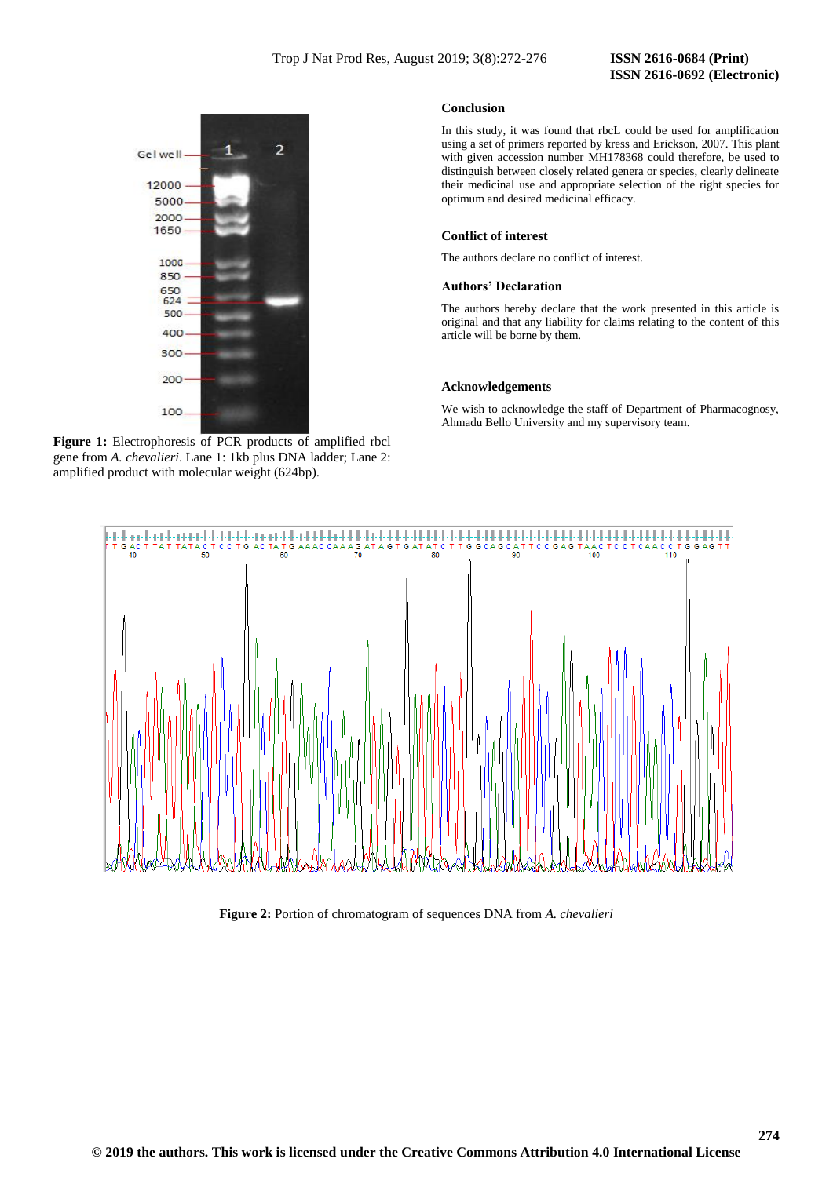# **ISSN 2616-0692 (Electronic)**



**Figure 1:** Electrophoresis of PCR products of amplified rbcl gene from *A. chevalieri*. Lane 1: 1kb plus DNA ladder; Lane 2: amplified product with molecular weight (624bp).

# **Conclusion**

In this study, it was found that rbcL could be used for amplification using a set of primers reported by kress and Erickson, 2007. This plant with given accession number MH178368 could therefore, be used to distinguish between closely related genera or species, clearly delineate their medicinal use and appropriate selection of the right species for optimum and desired medicinal efficacy.

# **Conflict of interest**

The authors declare no conflict of interest.

# **Authors' Declaration**

The authors hereby declare that the work presented in this article is original and that any liability for claims relating to the content of this article will be borne by them.

#### **Acknowledgements**

We wish to acknowledge the staff of Department of Pharmacognosy, Ahmadu Bello University and my supervisory team.



# **Figure 2:** Portion of chromatogram of sequences DNA from *A. chevalieri*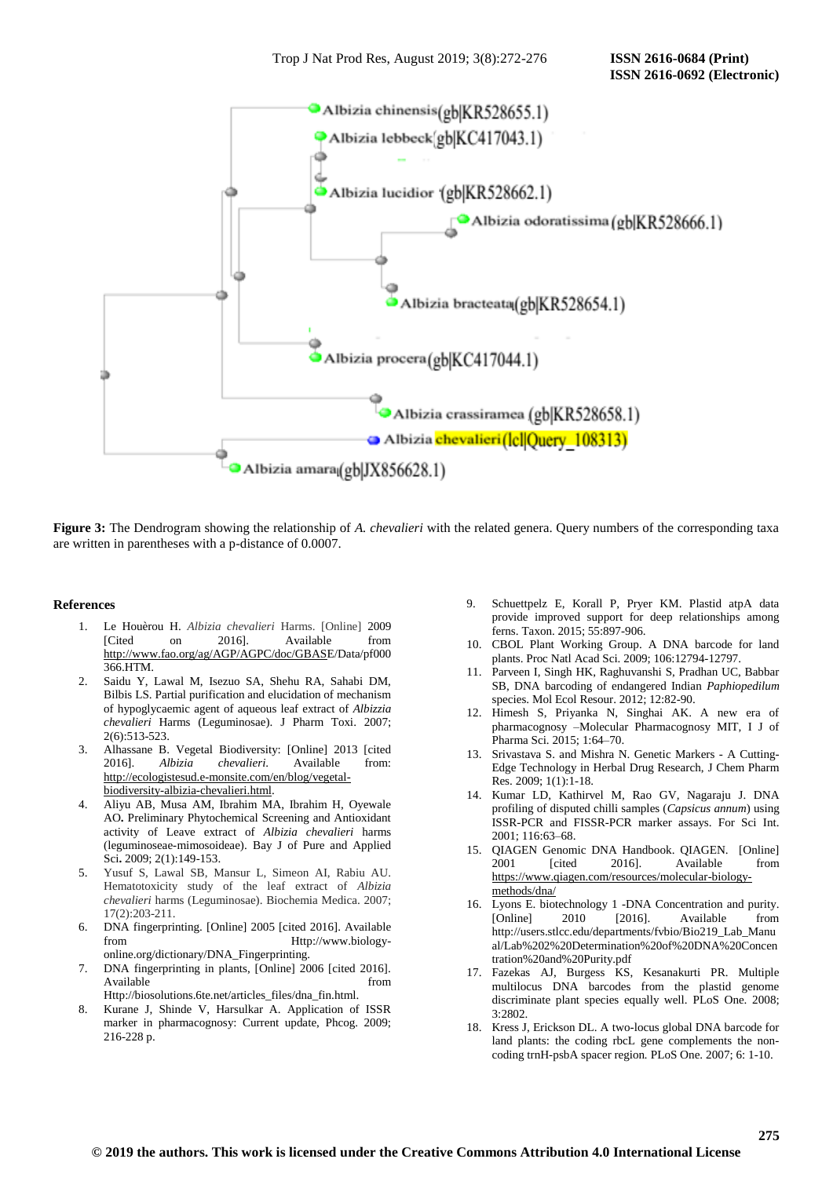

**Figure 3:** The Dendrogram showing the relationship of *A. chevalieri* with the related genera. Query numbers of the corresponding taxa are written in parentheses with a p-distance of 0.0007.

#### **References**

- 1. Le Houèrou H. *Albizia chevalieri* Harms. [Online] 2009 [Cited on 2016]. Available from [http://www.fao.org/ag/AGP/AGPC/doc/GBASE](http://www.fao.org/ag/AGP/AGPC/doc/GBAS)/Data/pf000 366.HTM.
- 2. Saidu Y, Lawal M, Isezuo SA, Shehu RA, Sahabi DM, Bilbis LS. Partial purification and elucidation of mechanism of hypoglycaemic agent of aqueous leaf extract of *Albizzia chevalieri* Harms (Leguminosae). J Pharm Toxi. 2007; 2(6):513-523.
- 3. Alhassane B. Vegetal Biodiversity: [Online] 2013 [cited 2016]. *Albizia chevalieri*. Available from: [http://ecologistesud.e-monsite.com/en/blog/vegetal](http://ecologistesud.e-monsite.com/en/blog/vegetal-biodiversity-albizia-chevalieri.html)[biodiversity-albizia-chevalieri.html.](http://ecologistesud.e-monsite.com/en/blog/vegetal-biodiversity-albizia-chevalieri.html)
- 4. Aliyu AB, Musa AM, Ibrahim MA, Ibrahim H, Oyewale AO**.** Preliminary Phytochemical Screening and Antioxidant activity of Leave extract of *Albizia chevalieri* harms (leguminoseae-mimosoideae). Bay J of Pure and Applied Sci**.** 2009; 2(1):149-153.
- 5. Yusuf S, Lawal SB, Mansur L, Simeon AI, Rabiu AU. Hematotoxicity study of the leaf extract of *Albizia chevalieri* harms (Leguminosae). Biochemia Medica. 2007; 17(2):203-211.
- 6. DNA fingerprinting. [Online] 2005 [cited 2016]. Available from Http://www.biologyonline.org/dictionary/DNA\_Fingerprinting.
- 7. DNA fingerprinting in plants, [Online] 2006 [cited 2016]. Available from the from the state of  $\sim$  from the state of  $\sim$  from the state of  $\sim$  from the state of  $\sim$  from the state of  $\sim$  from the state of  $\sim$  from the state of  $\sim$  from the state of  $\sim$  from the state of Http://biosolutions.6te.net/articles\_files/dna\_fin.html.
- 8. Kurane J, Shinde V, Harsulkar A. Application of ISSR marker in pharmacognosy: Current update, Phcog. 2009; 216-228 p.
- 9. Schuettpelz E, Korall P, Pryer KM. Plastid atpA data provide improved support for deep relationships among ferns. Taxon. 2015; 55:897-906.
- 10. CBOL Plant Working Group. A DNA barcode for land plants. Proc Natl Acad Sci. 2009; 106:12794-12797.
- 11. Parveen I, Singh HK, Raghuvanshi S, Pradhan UC, Babbar SB, DNA barcoding of endangered Indian *Paphiopedilum*  species. Mol Ecol Resour. 2012; 12:82-90.
- 12. Himesh S, Priyanka N, Singhai AK. A new era of pharmacognosy –Molecular Pharmacognosy MIT, I J of Pharma Sci. 2015; 1:64–70.
- 13. Srivastava S. and Mishra N. Genetic Markers A Cutting-Edge Technology in Herbal Drug Research, J Chem Pharm Res. 2009; 1(1):1-18.
- 14. Kumar LD, Kathirvel M, Rao GV, Nagaraju J. DNA profiling of disputed chilli samples (*Capsicus annum*) using ISSR-PCR and FISSR-PCR marker assays. For Sci Int. 2001; 116:63–68.
- 15. QIAGEN Genomic DNA Handbook. QIAGEN. [Online] 2001 [cited 2016]. Available from [https://www.qiagen.com/resources/molecular-biology](https://www.qiagen.com/resources/molecular-biology-methods/dna/)[methods/dna/](https://www.qiagen.com/resources/molecular-biology-methods/dna/)
- 16. Lyons E. biotechnology 1 -DNA Concentration and purity. [Online] 2010 [2016]. Available from http://users.stlcc.edu/departments/fvbio/Bio219\_Lab\_Manu al/Lab%202%20Determination%20of%20DNA%20Concen tration%20and%20Purity.pdf
- 17. Fazekas AJ, Burgess KS, Kesanakurti PR. Multiple multilocus DNA barcodes from the plastid genome discriminate plant species equally well. PLoS One. 2008; 3:2802.
- Kress J, Erickson DL. A two-locus global DNA barcode for land plants: the coding rbcL gene complements the noncoding trnH-psbA spacer region*.* PLoS One. 2007; 6: 1-10.